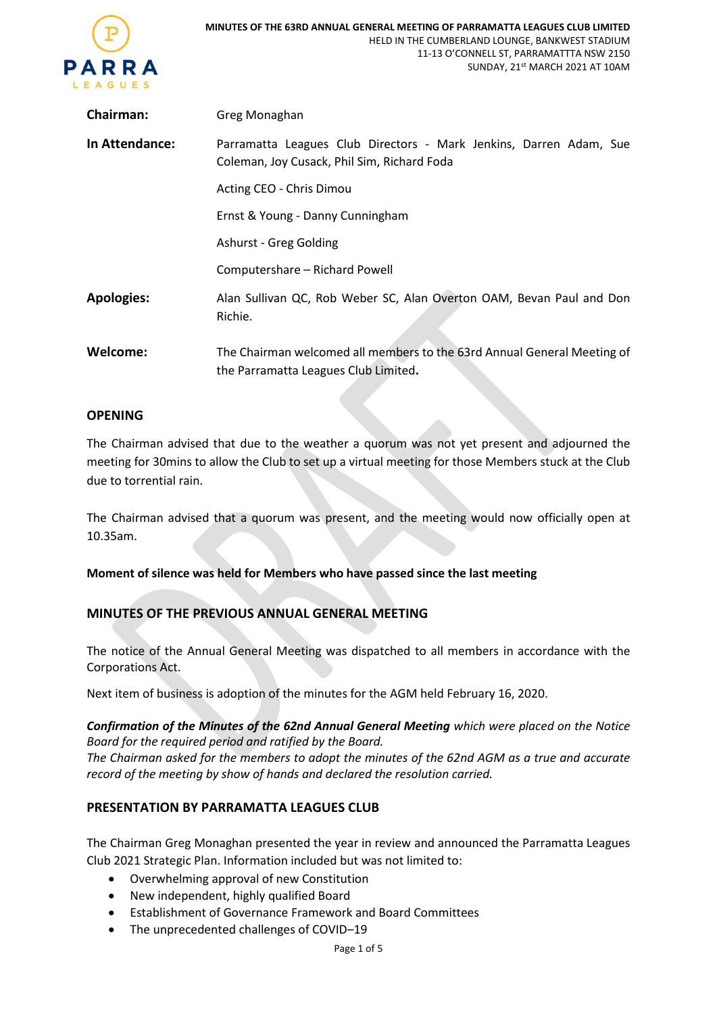

| Chairman:         | Greg Monaghan                                                                                                     |
|-------------------|-------------------------------------------------------------------------------------------------------------------|
| In Attendance:    | Parramatta Leagues Club Directors - Mark Jenkins, Darren Adam, Sue<br>Coleman, Joy Cusack, Phil Sim, Richard Foda |
|                   | Acting CEO - Chris Dimou                                                                                          |
|                   | Ernst & Young - Danny Cunningham                                                                                  |
|                   | Ashurst - Greg Golding                                                                                            |
|                   | Computershare - Richard Powell                                                                                    |
| <b>Apologies:</b> | Alan Sullivan QC, Rob Weber SC, Alan Overton OAM, Bevan Paul and Don<br>Richie.                                   |
| Welcome:          | The Chairman welcomed all members to the 63rd Annual General Meeting of<br>the Parramatta Leagues Club Limited.   |

## **OPENING**

The Chairman advised that due to the weather a quorum was not yet present and adjourned the meeting for 30mins to allow the Club to set up a virtual meeting for those Members stuck at the Club due to torrential rain.

The Chairman advised that a quorum was present, and the meeting would now officially open at 10.35am.

### **Moment of silence was held for Members who have passed since the last meeting**

# **MINUTES OF THE PREVIOUS ANNUAL GENERAL MEETING**

The notice of the Annual General Meeting was dispatched to all members in accordance with the Corporations Act.

Next item of business is adoption of the minutes for the AGM held February 16, 2020.

*Confirmation of the Minutes of the 62nd Annual General Meeting which were placed on the Notice Board for the required period and ratified by the Board.*

*The Chairman asked for the members to adopt the minutes of the 62nd AGM as a true and accurate record of the meeting by show of hands and declared the resolution carried.*

# **PRESENTATION BY PARRAMATTA LEAGUES CLUB**

The Chairman Greg Monaghan presented the year in review and announced the Parramatta Leagues Club 2021 Strategic Plan. Information included but was not limited to:

- Overwhelming approval of new Constitution
- New independent, highly qualified Board
- Establishment of Governance Framework and Board Committees
- The unprecedented challenges of COVID-19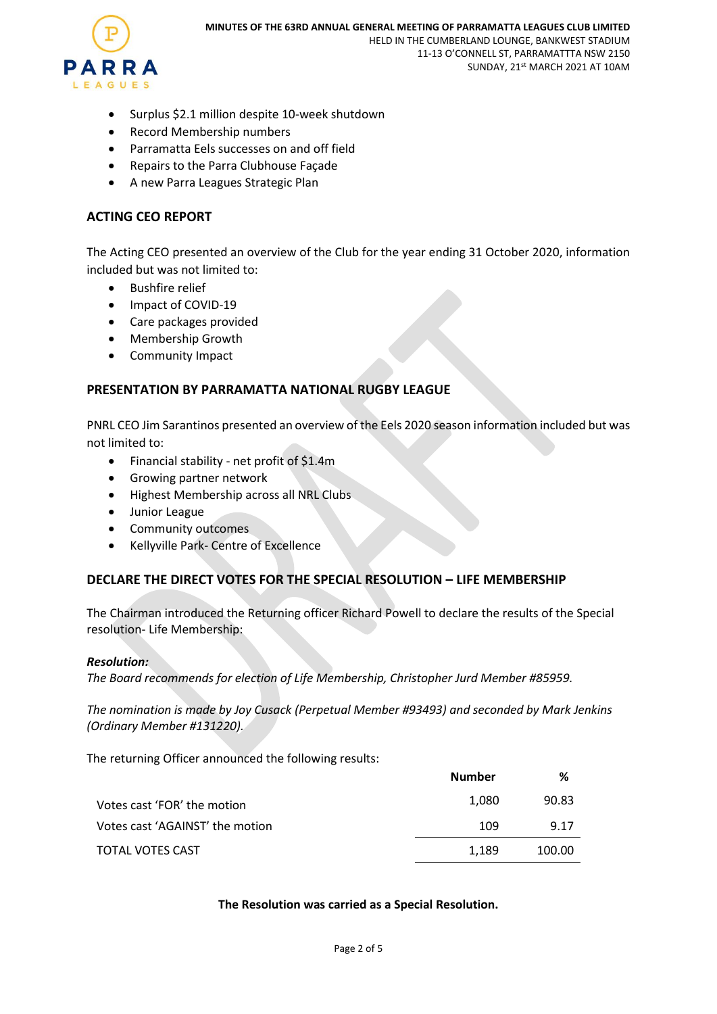

- Surplus \$2.1 million despite 10-week shutdown
- Record Membership numbers
- Parramatta Eels successes on and off field
- Repairs to the Parra Clubhouse Façade
- A new Parra Leagues Strategic Plan

### **ACTING CEO REPORT**

The Acting CEO presented an overview of the Club for the year ending 31 October 2020, information included but was not limited to:

- Bushfire relief
- Impact of COVID-19
- Care packages provided
- Membership Growth
- Community Impact

## **PRESENTATION BY PARRAMATTA NATIONAL RUGBY LEAGUE**

PNRL CEO Jim Sarantinos presented an overview of the Eels 2020 season information included but was not limited to:

- Financial stability net profit of \$1.4m
- Growing partner network
- Highest Membership across all NRL Clubs
- Junior League
- Community outcomes
- Kellyville Park- Centre of Excellence

# **DECLARE THE DIRECT VOTES FOR THE SPECIAL RESOLUTION – LIFE MEMBERSHIP**

The Chairman introduced the Returning officer Richard Powell to declare the results of the Special resolution- Life Membership:

#### *Resolution:*

*The Board recommends for election of Life Membership, Christopher Jurd Member #85959.*

*The nomination is made by Joy Cusack (Perpetual Member #93493) and seconded by Mark Jenkins (Ordinary Member #131220).*

The returning Officer announced the following results:

|                                 | <b>Number</b> | %      |
|---------------------------------|---------------|--------|
| Votes cast 'FOR' the motion     | 1.080         | 90.83  |
| Votes cast 'AGAINST' the motion | 109           | 9.17   |
| TOTAL VOTES CAST                | 1.189         | 100.00 |

### **The Resolution was carried as a Special Resolution.**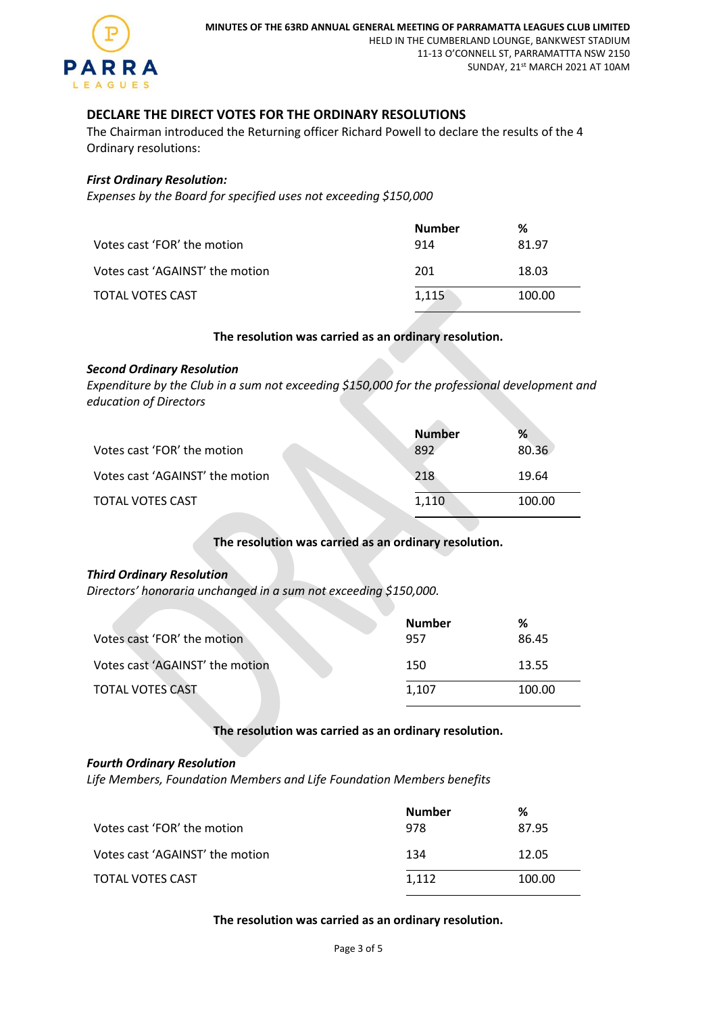

# **DECLARE THE DIRECT VOTES FOR THE ORDINARY RESOLUTIONS**

The Chairman introduced the Returning officer Richard Powell to declare the results of the 4 Ordinary resolutions:

### *First Ordinary Resolution:*

*Expenses by the Board for specified uses not exceeding \$150,000* 

|                                 | Number | %      |
|---------------------------------|--------|--------|
| Votes cast 'FOR' the motion     | 914    | 81.97  |
| Votes cast 'AGAINST' the motion | 201    | 18.03  |
| TOTAL VOTES CAST                | 1,115  | 100.00 |

# **The resolution was carried as an ordinary resolution.**

#### *Second Ordinary Resolution*

*Expenditure by the Club in a sum not exceeding \$150,000 for the professional development and education of Directors*

|                                 | <b>Number</b> | %      |
|---------------------------------|---------------|--------|
| Votes cast 'FOR' the motion     | 892           | 80.36  |
| Votes cast 'AGAINST' the motion | 218           | 19.64  |
| TOTAL VOTES CAST                | 1.110         | 100.00 |

# **The resolution was carried as an ordinary resolution.**

#### *Third Ordinary Resolution*

*Directors' honoraria unchanged in a sum not exceeding \$150,000.*

| Votes cast 'FOR' the motion     | <b>Number</b><br>957 | %<br>86.45 |
|---------------------------------|----------------------|------------|
| Votes cast 'AGAINST' the motion | 150                  | 13.55      |
| TOTAL VOTES CAST                | 1.107                | 100.00     |

### **The resolution was carried as an ordinary resolution.**

#### *Fourth Ordinary Resolution*

*Life Members, Foundation Members and Life Foundation Members benefits*

| Votes cast 'FOR' the motion     | <b>Number</b><br>978 | %<br>87.95 |
|---------------------------------|----------------------|------------|
| Votes cast 'AGAINST' the motion | 134                  | 12.05      |
| TOTAL VOTES CAST                | 1,112                | 100.00     |

### **The resolution was carried as an ordinary resolution.**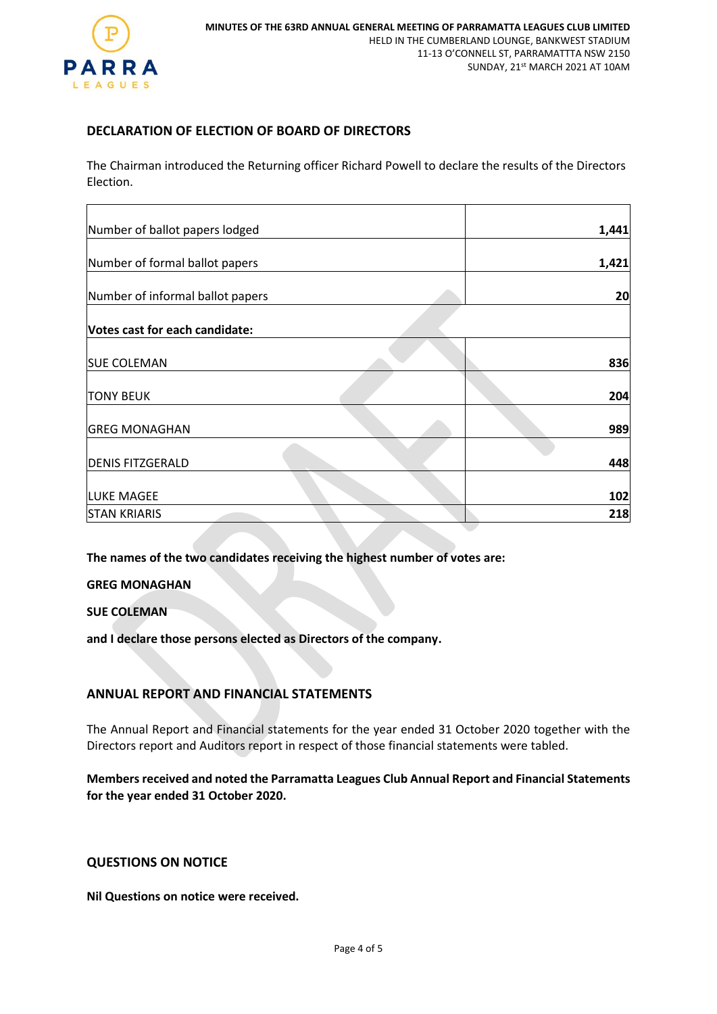

# **DECLARATION OF ELECTION OF BOARD OF DIRECTORS**

The Chairman introduced the Returning officer Richard Powell to declare the results of the Directors Election.

| Number of ballot papers lodged   | 1,441 |
|----------------------------------|-------|
| Number of formal ballot papers   | 1,421 |
| Number of informal ballot papers | 20    |
| Votes cast for each candidate:   |       |
| <b>SUE COLEMAN</b>               | 836   |
| <b>TONY BEUK</b>                 | 204   |
| <b>GREG MONAGHAN</b>             | 989   |
| <b>DENIS FITZGERALD</b>          | 448   |
| <b>LUKE MAGEE</b>                | 102   |
| <b>STAN KRIARIS</b>              | 218   |

**The names of the two candidates receiving the highest number of votes are:**

**GREG MONAGHAN**

**SUE COLEMAN**

**and I declare those persons elected as Directors of the company.**

## **ANNUAL REPORT AND FINANCIAL STATEMENTS**

The Annual Report and Financial statements for the year ended 31 October 2020 together with the Directors report and Auditors report in respect of those financial statements were tabled.

**Members received and noted the Parramatta Leagues Club Annual Report and Financial Statements for the year ended 31 October 2020.**

### **QUESTIONS ON NOTICE**

**Nil Questions on notice were received.**